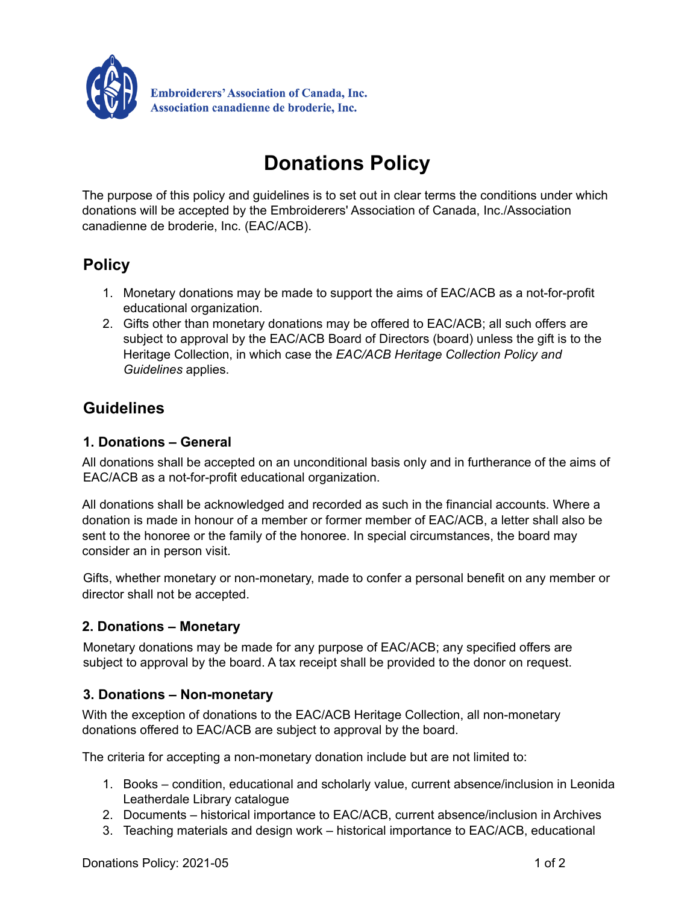

# **Donations Policy**

The purpose of this policy and guidelines is to set out in clear terms the conditions under which donations will be accepted by the Embroiderers' Association of Canada, Inc./Association canadienne de broderie, Inc. (EAC/ACB).

## **Policy**

- 1. Monetary donations may be made to support the aims of EAC/ACB as a not-for-profit educational organization.
- 2. Gifts other than monetary donations may be offered to EAC/ACB; all such offers are subject to approval by the EAC/ACB Board of Directors (board) unless the gift is to the Heritage Collection, in which case the *EAC/ACB Heritage Collection Policy and Guidelines* applies.

### **Guidelines**

#### **1. Donations – General**

All donations shall be accepted on an unconditional basis only and in furtherance of the aims of EAC/ACB as a not-for-profit educational organization.

All donations shall be acknowledged and recorded as such in the financial accounts. Where a donation is made in honour of a member or former member of EAC/ACB, a letter shall also be sent to the honoree or the family of the honoree. In special circumstances, the board may consider an in person visit.

Gifts, whether monetary or non-monetary, made to confer a personal benefit on any member or director shall not be accepted.

#### **2. Donations – Monetary**

Monetary donations may be made for any purpose of EAC/ACB; any specified offers are subject to approval by the board. A tax receipt shall be provided to the donor on request.

#### **3. Donations – Non-monetary**

With the exception of donations to the EAC/ACB Heritage Collection, all non-monetary donations offered to EAC/ACB are subject to approval by the board.

The criteria for accepting a non-monetary donation include but are not limited to:

- 1. Books condition, educational and scholarly value, current absence/inclusion in Leonida Leatherdale Library catalogue
- 2. Documents historical importance to EAC/ACB, current absence/inclusion in Archives
- 3. Teaching materials and design work historical importance to EAC/ACB, educational